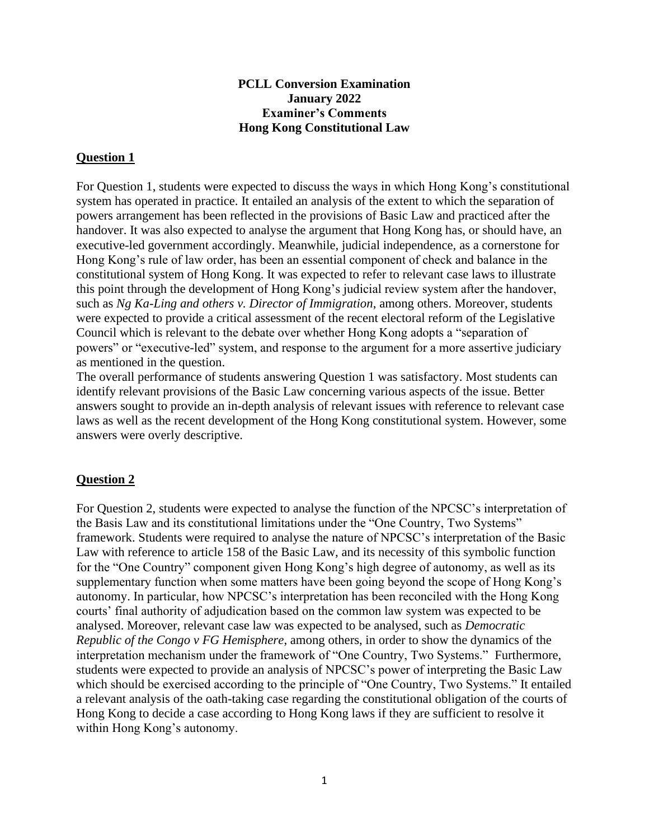## **PCLL Conversion Examination January 2022 Examiner's Comments Hong Kong Constitutional Law**

## **Question 1**

For Question 1, students were expected to discuss the ways in which Hong Kong's constitutional system has operated in practice. It entailed an analysis of the extent to which the separation of powers arrangement has been reflected in the provisions of Basic Law and practiced after the handover. It was also expected to analyse the argument that Hong Kong has, or should have, an executive-led government accordingly. Meanwhile, judicial independence, as a cornerstone for Hong Kong's rule of law order, has been an essential component of check and balance in the constitutional system of Hong Kong. It was expected to refer to relevant case laws to illustrate this point through the development of Hong Kong's judicial review system after the handover, such as *Ng Ka-Ling and others v. Director of Immigration*, among others. Moreover, students were expected to provide a critical assessment of the recent electoral reform of the Legislative Council which is relevant to the debate over whether Hong Kong adopts a "separation of powers" or "executive-led" system, and response to the argument for a more assertive judiciary as mentioned in the question.

The overall performance of students answering Question 1 was satisfactory. Most students can identify relevant provisions of the Basic Law concerning various aspects of the issue. Better answers sought to provide an in-depth analysis of relevant issues with reference to relevant case laws as well as the recent development of the Hong Kong constitutional system. However, some answers were overly descriptive.

## **Question 2**

For Question 2, students were expected to analyse the function of the NPCSC's interpretation of the Basis Law and its constitutional limitations under the "One Country, Two Systems" framework. Students were required to analyse the nature of NPCSC's interpretation of the Basic Law with reference to article 158 of the Basic Law, and its necessity of this symbolic function for the "One Country" component given Hong Kong's high degree of autonomy, as well as its supplementary function when some matters have been going beyond the scope of Hong Kong's autonomy. In particular, how NPCSC's interpretation has been reconciled with the Hong Kong courts' final authority of adjudication based on the common law system was expected to be analysed. Moreover, relevant case law was expected to be analysed, such as *Democratic Republic of the Congo v FG Hemisphere*, among others, in order to show the dynamics of the interpretation mechanism under the framework of "One Country, Two Systems." Furthermore, students were expected to provide an analysis of NPCSC's power of interpreting the Basic Law which should be exercised according to the principle of "One Country, Two Systems." It entailed a relevant analysis of the oath-taking case regarding the constitutional obligation of the courts of Hong Kong to decide a case according to Hong Kong laws if they are sufficient to resolve it within Hong Kong's autonomy.